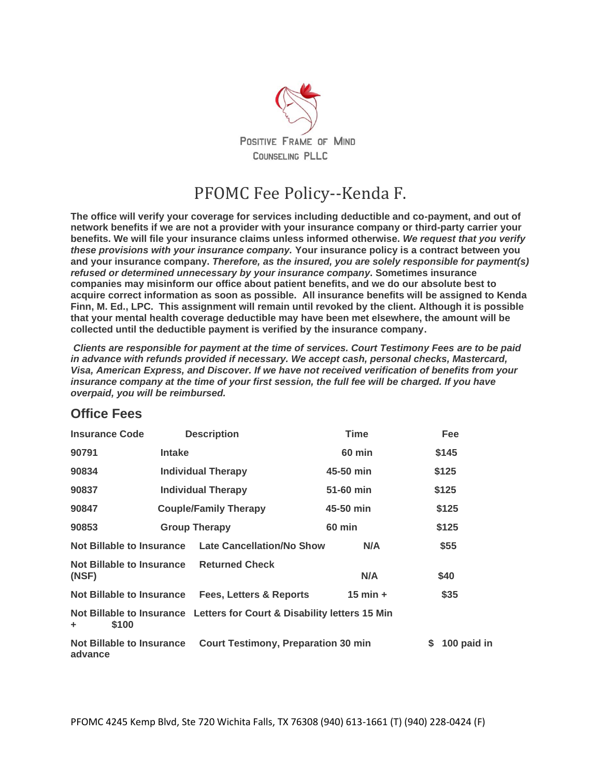

## PFOMC Fee Policy--Kenda F.

**The office will verify your coverage for services including deductible and co-payment, and out of network benefits if we are not a provider with your insurance company or third-party carrier your benefits. We will file your insurance claims unless informed otherwise.** *We request that you verify these provisions with your insurance company.* **Your insurance policy is a contract between you and your insurance company.** *Therefore, as the insured, you are solely responsible for payment(s) refused or determined unnecessary by your insurance com***p***any***. Sometimes insurance companies may misinform our office about patient benefits, and we do our absolute best to acquire correct information as soon as possible. All insurance benefits will be assigned to Kenda Finn, M. Ed., LPC. This assignment will remain until revoked by the client. Although it is possible that your mental health coverage deductible may have been met elsewhere, the amount will be collected until the deductible payment is verified by the insurance company.**

*Clients are responsible for payment at the time of services. Court Testimony Fees are to be paid in advance with refunds provided if necessary. We accept cash, personal checks, Mastercard, Visa, American Express, and Discover. If we have not received verification of benefits from your insurance company at the time of your first session, the full fee will be charged. If you have overpaid, you will be reimbursed.*

## **Office Fees**

| <b>Insurance Code</b>                |                              | <b>Description</b>                                                      | <b>Time</b>   | Fee               |  |
|--------------------------------------|------------------------------|-------------------------------------------------------------------------|---------------|-------------------|--|
| 90791                                | <b>Intake</b>                |                                                                         | <b>60 min</b> | \$145             |  |
| 90834                                | <b>Individual Therapy</b>    |                                                                         | 45-50 min     | \$125             |  |
| 90837                                | <b>Individual Therapy</b>    |                                                                         | 51-60 min     | \$125             |  |
| 90847                                | <b>Couple/Family Therapy</b> |                                                                         | 45-50 min     | \$125             |  |
| 90853                                |                              | <b>Group Therapy</b>                                                    | <b>60 min</b> | \$125             |  |
| Not Billable to Insurance            |                              | <b>Late Cancellation/No Show</b>                                        | N/A           | \$55              |  |
| Not Billable to Insurance<br>(NSF)   |                              | <b>Returned Check</b>                                                   | N/A           | \$40              |  |
| Not Billable to Insurance            |                              | <b>Fees, Letters &amp; Reports</b>                                      | $15$ min $+$  | \$35              |  |
| \$100<br>÷                           |                              | Not Billable to Insurance Letters for Court & Disability letters 15 Min |               |                   |  |
| Not Billable to Insurance<br>advance |                              | <b>Court Testimony, Preparation 30 min</b>                              |               | 100 paid in<br>S. |  |